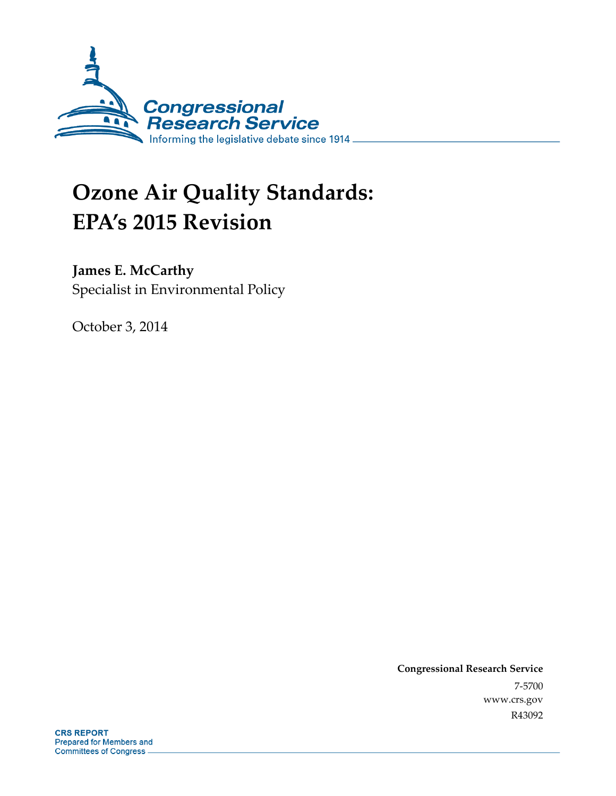

# **Ozone Air Quality Standards: EPA's 2015 Revision**

## **James E. McCarthy**

Specialist in Environmental Policy

October 3, 2014

**Congressional Research Service**  7-5700 www.crs.gov R43092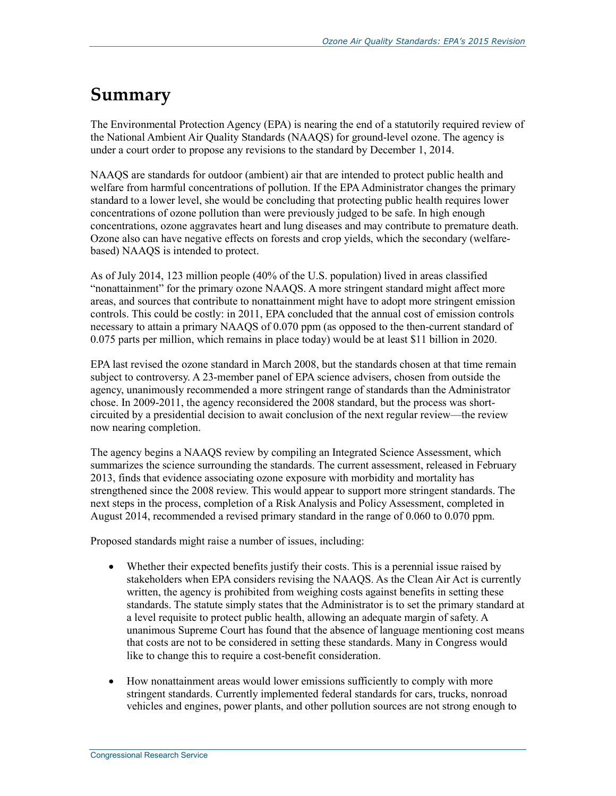## **Summary**

The Environmental Protection Agency (EPA) is nearing the end of a statutorily required review of the National Ambient Air Quality Standards (NAAQS) for ground-level ozone. The agency is under a court order to propose any revisions to the standard by December 1, 2014.

NAAQS are standards for outdoor (ambient) air that are intended to protect public health and welfare from harmful concentrations of pollution. If the EPA Administrator changes the primary standard to a lower level, she would be concluding that protecting public health requires lower concentrations of ozone pollution than were previously judged to be safe. In high enough concentrations, ozone aggravates heart and lung diseases and may contribute to premature death. Ozone also can have negative effects on forests and crop yields, which the secondary (welfarebased) NAAQS is intended to protect.

As of July 2014, 123 million people (40% of the U.S. population) lived in areas classified "nonattainment" for the primary ozone NAAQS. A more stringent standard might affect more areas, and sources that contribute to nonattainment might have to adopt more stringent emission controls. This could be costly: in 2011, EPA concluded that the annual cost of emission controls necessary to attain a primary NAAQS of 0.070 ppm (as opposed to the then-current standard of 0.075 parts per million, which remains in place today) would be at least \$11 billion in 2020.

EPA last revised the ozone standard in March 2008, but the standards chosen at that time remain subject to controversy. A 23-member panel of EPA science advisers, chosen from outside the agency, unanimously recommended a more stringent range of standards than the Administrator chose. In 2009-2011, the agency reconsidered the 2008 standard, but the process was shortcircuited by a presidential decision to await conclusion of the next regular review—the review now nearing completion.

The agency begins a NAAQS review by compiling an Integrated Science Assessment, which summarizes the science surrounding the standards. The current assessment, released in February 2013, finds that evidence associating ozone exposure with morbidity and mortality has strengthened since the 2008 review. This would appear to support more stringent standards. The next steps in the process, completion of a Risk Analysis and Policy Assessment, completed in August 2014, recommended a revised primary standard in the range of 0.060 to 0.070 ppm.

Proposed standards might raise a number of issues, including:

- Whether their expected benefits justify their costs. This is a perennial issue raised by stakeholders when EPA considers revising the NAAQS. As the Clean Air Act is currently written, the agency is prohibited from weighing costs against benefits in setting these standards. The statute simply states that the Administrator is to set the primary standard at a level requisite to protect public health, allowing an adequate margin of safety. A unanimous Supreme Court has found that the absence of language mentioning cost means that costs are not to be considered in setting these standards. Many in Congress would like to change this to require a cost-benefit consideration.
- How nonattainment areas would lower emissions sufficiently to comply with more stringent standards. Currently implemented federal standards for cars, trucks, nonroad vehicles and engines, power plants, and other pollution sources are not strong enough to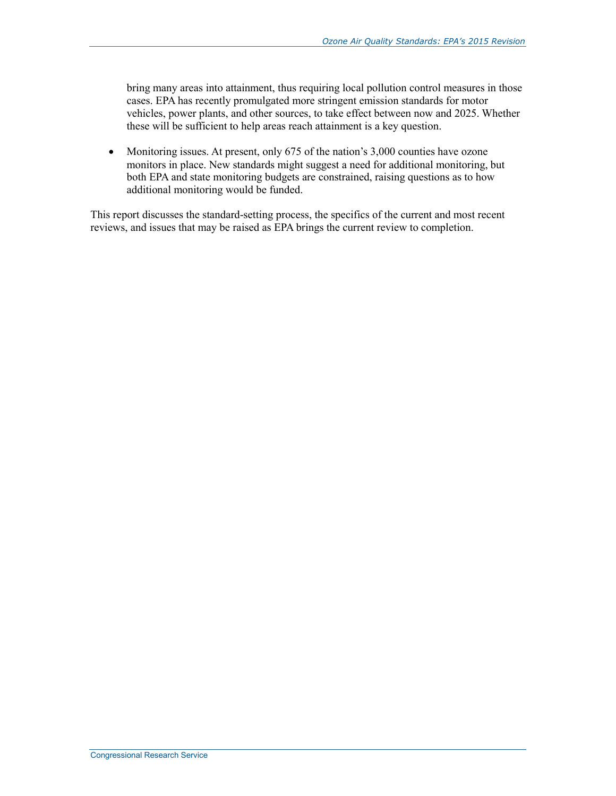bring many areas into attainment, thus requiring local pollution control measures in those cases. EPA has recently promulgated more stringent emission standards for motor vehicles, power plants, and other sources, to take effect between now and 2025. Whether these will be sufficient to help areas reach attainment is a key question.

• Monitoring issues. At present, only 675 of the nation's 3,000 counties have ozone monitors in place. New standards might suggest a need for additional monitoring, but both EPA and state monitoring budgets are constrained, raising questions as to how additional monitoring would be funded.

This report discusses the standard-setting process, the specifics of the current and most recent reviews, and issues that may be raised as EPA brings the current review to completion.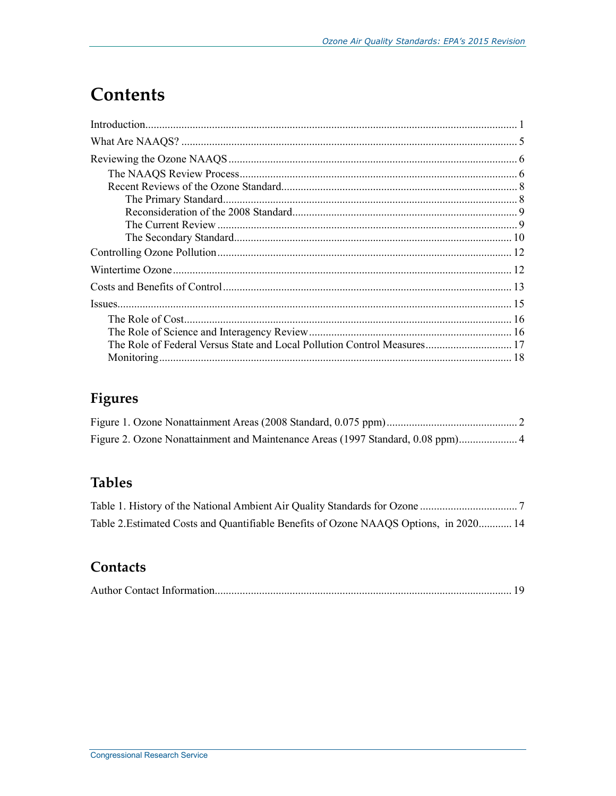## **Contents**

| The Role of Federal Versus State and Local Pollution Control Measures 17 |
|--------------------------------------------------------------------------|
|                                                                          |

## Figures

| Figure 2. Ozone Nonattainment and Maintenance Areas (1997 Standard, 0.08 ppm) 4 |  |
|---------------------------------------------------------------------------------|--|

## **Tables**

| Table 2. Estimated Costs and Quantifiable Benefits of Ozone NAAQS Options, in 2020 14 |  |
|---------------------------------------------------------------------------------------|--|

### Contacts

|--|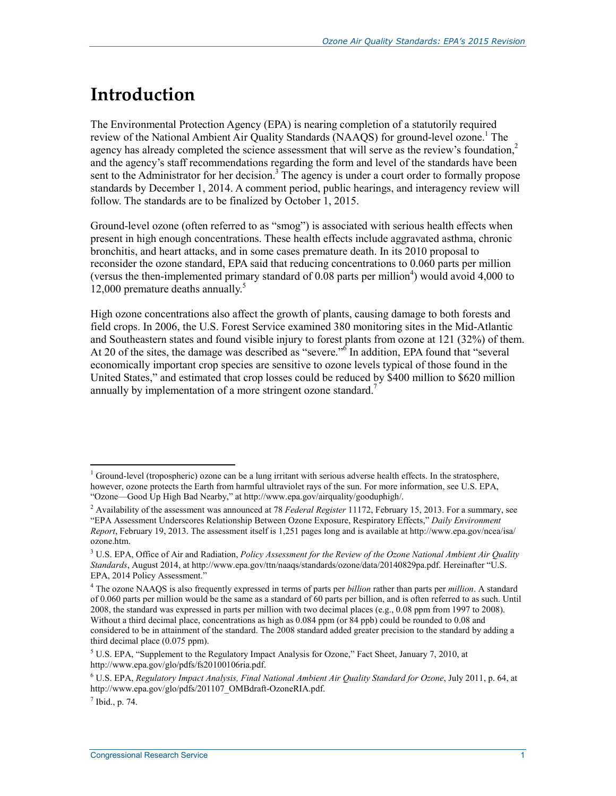## **Introduction**

The Environmental Protection Agency (EPA) is nearing completion of a statutorily required review of the National Ambient Air Quality Standards (NAAQS) for ground-level ozone.<sup>1</sup> The agency has already completed the science assessment that will serve as the review's foundation, $2$ and the agency's staff recommendations regarding the form and level of the standards have been sent to the Administrator for her decision.<sup>3</sup> The agency is under a court order to formally propose standards by December 1, 2014. A comment period, public hearings, and interagency review will follow. The standards are to be finalized by October 1, 2015.

Ground-level ozone (often referred to as "smog") is associated with serious health effects when present in high enough concentrations. These health effects include aggravated asthma, chronic bronchitis, and heart attacks, and in some cases premature death. In its 2010 proposal to reconsider the ozone standard, EPA said that reducing concentrations to 0.060 parts per million (versus the then-implemented primary standard of  $0.08$  parts per million<sup>4</sup>) would avoid 4,000 to 12,000 premature deaths annually.<sup>5</sup>

High ozone concentrations also affect the growth of plants, causing damage to both forests and field crops. In 2006, the U.S. Forest Service examined 380 monitoring sites in the Mid-Atlantic and Southeastern states and found visible injury to forest plants from ozone at 121 (32%) of them. At 20 of the sites, the damage was described as "severe."<sup>6</sup> In addition, EPA found that "several economically important crop species are sensitive to ozone levels typical of those found in the United States," and estimated that crop losses could be reduced by \$400 million to \$620 million annually by implementation of a more stringent ozone standard.<sup>7</sup>

<u>.</u>

<sup>&</sup>lt;sup>1</sup> Ground-level (tropospheric) ozone can be a lung irritant with serious adverse health effects. In the stratosphere, however, ozone protects the Earth from harmful ultraviolet rays of the sun. For more information, see U.S. EPA, "Ozone—Good Up High Bad Nearby," at http://www.epa.gov/airquality/gooduphigh/.

<sup>2</sup> Availability of the assessment was announced at 78 *Federal Register* 11172, February 15, 2013. For a summary, see "EPA Assessment Underscores Relationship Between Ozone Exposure, Respiratory Effects," *Daily Environment Report*, February 19, 2013. The assessment itself is 1,251 pages long and is available at http://www.epa.gov/ncea/isa/ ozone.htm.

<sup>&</sup>lt;sup>3</sup> U.S. EPA, Office of Air and Radiation, *Policy Assessment for the Review of the Ozone National Ambient Air Quality Standards*, August 2014, at http://www.epa.gov/ttn/naaqs/standards/ozone/data/20140829pa.pdf. Hereinafter "U.S. EPA, 2014 Policy Assessment."

<sup>4</sup> The ozone NAAQS is also frequently expressed in terms of parts per *billion* rather than parts per *million*. A standard of 0.060 parts per million would be the same as a standard of 60 parts per billion, and is often referred to as such. Until 2008, the standard was expressed in parts per million with two decimal places (e.g., 0.08 ppm from 1997 to 2008). Without a third decimal place, concentrations as high as 0.084 ppm (or 84 ppb) could be rounded to 0.08 and considered to be in attainment of the standard. The 2008 standard added greater precision to the standard by adding a third decimal place (0.075 ppm).

<sup>&</sup>lt;sup>5</sup> U.S. EPA, "Supplement to the Regulatory Impact Analysis for Ozone," Fact Sheet, January 7, 2010, at http://www.epa.gov/glo/pdfs/fs20100106ria.pdf.

<sup>6</sup> U.S. EPA, *Regulatory Impact Analysis, Final National Ambient Air Quality Standard for Ozone*, July 2011, p. 64, at http://www.epa.gov/glo/pdfs/201107\_OMBdraft-OzoneRIA.pdf.

 $<sup>7</sup>$  Ibid., p. 74.</sup>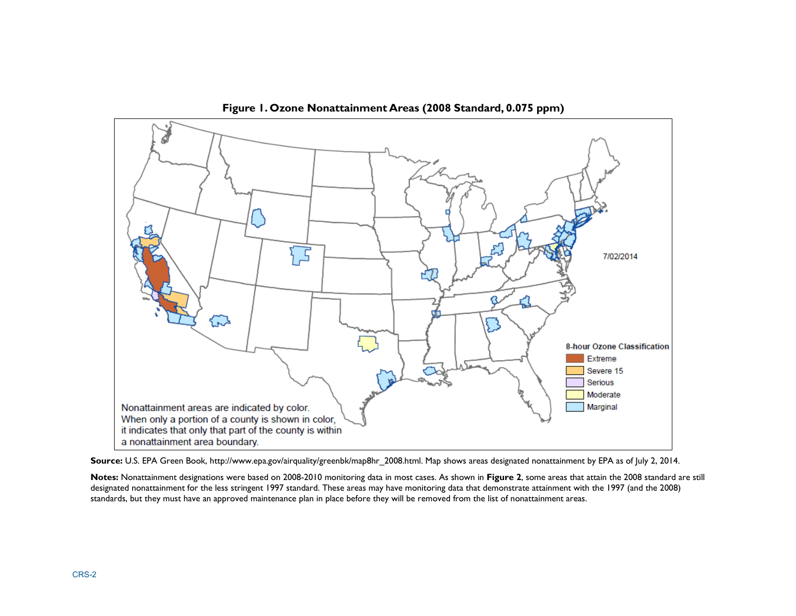

**Figure 1. Ozone Nonattainment Areas (2008 Standard, 0.075 ppm)** 

**Source:** U.S. EPA Green Book, http://www.epa.gov/airquality/greenbk/map8hr\_2008.html. Map shows areas designated nonattainment by EPA as of July 2, 2014.

**Notes:** Nonattainment designations were based on 2008-2010 monitoring data in most cases. As shown in **Figure 2**, some areas that attain the 2008 standard are still designated nonattainment for the less stringent 1997 standard. These areas may have monitoring data that demonstrate attainment with the 1997 (and the 2008) standards, but they must have an approved maintenance plan in place before they will be removed from the list of nonattainment areas.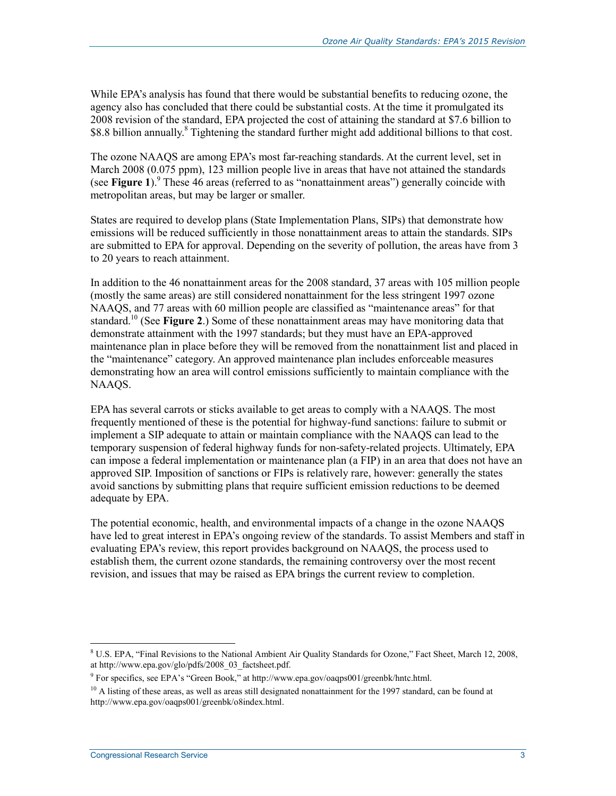While EPA's analysis has found that there would be substantial benefits to reducing ozone, the agency also has concluded that there could be substantial costs. At the time it promulgated its 2008 revision of the standard, EPA projected the cost of attaining the standard at \$7.6 billion to \$8.8 billion annually.<sup>8</sup> Tightening the standard further might add additional billions to that cost.

The ozone NAAQS are among EPA's most far-reaching standards. At the current level, set in March 2008 (0.075 ppm), 123 million people live in areas that have not attained the standards (see Figure 1).<sup>9</sup> These 46 areas (referred to as "nonattainment areas") generally coincide with metropolitan areas, but may be larger or smaller.

States are required to develop plans (State Implementation Plans, SIPs) that demonstrate how emissions will be reduced sufficiently in those nonattainment areas to attain the standards. SIPs are submitted to EPA for approval. Depending on the severity of pollution, the areas have from 3 to 20 years to reach attainment.

In addition to the 46 nonattainment areas for the 2008 standard, 37 areas with 105 million people (mostly the same areas) are still considered nonattainment for the less stringent 1997 ozone NAAQS, and 77 areas with 60 million people are classified as "maintenance areas" for that standard.10 (See **Figure 2**.) Some of these nonattainment areas may have monitoring data that demonstrate attainment with the 1997 standards; but they must have an EPA-approved maintenance plan in place before they will be removed from the nonattainment list and placed in the "maintenance" category. An approved maintenance plan includes enforceable measures demonstrating how an area will control emissions sufficiently to maintain compliance with the NAAQS.

EPA has several carrots or sticks available to get areas to comply with a NAAQS. The most frequently mentioned of these is the potential for highway-fund sanctions: failure to submit or implement a SIP adequate to attain or maintain compliance with the NAAQS can lead to the temporary suspension of federal highway funds for non-safety-related projects. Ultimately, EPA can impose a federal implementation or maintenance plan (a FIP) in an area that does not have an approved SIP. Imposition of sanctions or FIPs is relatively rare, however: generally the states avoid sanctions by submitting plans that require sufficient emission reductions to be deemed adequate by EPA.

The potential economic, health, and environmental impacts of a change in the ozone NAAQS have led to great interest in EPA's ongoing review of the standards. To assist Members and staff in evaluating EPA's review, this report provides background on NAAQS, the process used to establish them, the current ozone standards, the remaining controversy over the most recent revision, and issues that may be raised as EPA brings the current review to completion.

<sup>&</sup>lt;sup>8</sup> U.S. EPA, "Final Revisions to the National Ambient Air Quality Standards for Ozone," Fact Sheet, March 12, 2008, at http://www.epa.gov/glo/pdfs/2008\_03\_factsheet.pdf.

<sup>&</sup>lt;sup>9</sup> For specifics, see EPA's "Green Book," at http://www.epa.gov/oaqps001/greenbk/hntc.html.

 $10$  A listing of these areas, as well as areas still designated nonattainment for the 1997 standard, can be found at http://www.epa.gov/oaqps001/greenbk/o8index.html.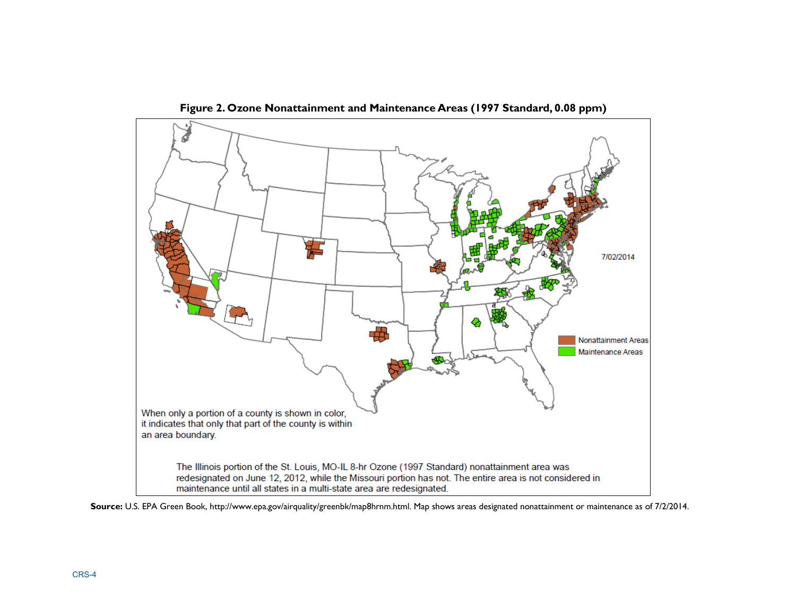

**Figure 2. Ozone Nonattainment and Maintenance Areas (1997 Standard, 0.08 ppm)** 

**Source:** U.S. EPA Green Book, http://www.epa.gov/airquality/greenbk/map8hrnm.html. Map shows areas designated nonattainment or maintenance as of 7/2/2014.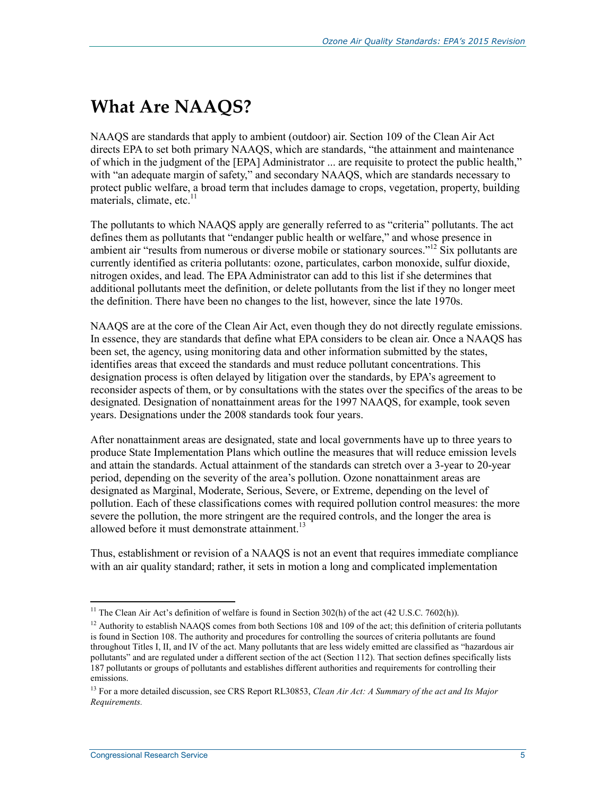## **What Are NAAQS?**

NAAQS are standards that apply to ambient (outdoor) air. Section 109 of the Clean Air Act directs EPA to set both primary NAAQS, which are standards, "the attainment and maintenance of which in the judgment of the [EPA] Administrator ... are requisite to protect the public health," with "an adequate margin of safety," and secondary NAAQS, which are standards necessary to protect public welfare, a broad term that includes damage to crops, vegetation, property, building materials, climate, etc. $11$ 

The pollutants to which NAAQS apply are generally referred to as "criteria" pollutants. The act defines them as pollutants that "endanger public health or welfare," and whose presence in ambient air "results from numerous or diverse mobile or stationary sources."<sup>12</sup> Six pollutants are currently identified as criteria pollutants: ozone, particulates, carbon monoxide, sulfur dioxide, nitrogen oxides, and lead. The EPA Administrator can add to this list if she determines that additional pollutants meet the definition, or delete pollutants from the list if they no longer meet the definition. There have been no changes to the list, however, since the late 1970s.

NAAQS are at the core of the Clean Air Act, even though they do not directly regulate emissions. In essence, they are standards that define what EPA considers to be clean air. Once a NAAQS has been set, the agency, using monitoring data and other information submitted by the states, identifies areas that exceed the standards and must reduce pollutant concentrations. This designation process is often delayed by litigation over the standards, by EPA's agreement to reconsider aspects of them, or by consultations with the states over the specifics of the areas to be designated. Designation of nonattainment areas for the 1997 NAAQS, for example, took seven years. Designations under the 2008 standards took four years.

After nonattainment areas are designated, state and local governments have up to three years to produce State Implementation Plans which outline the measures that will reduce emission levels and attain the standards. Actual attainment of the standards can stretch over a 3-year to 20-year period, depending on the severity of the area's pollution. Ozone nonattainment areas are designated as Marginal, Moderate, Serious, Severe, or Extreme, depending on the level of pollution. Each of these classifications comes with required pollution control measures: the more severe the pollution, the more stringent are the required controls, and the longer the area is allowed before it must demonstrate attainment. $^{13}$ 

Thus, establishment or revision of a NAAQS is not an event that requires immediate compliance with an air quality standard; rather, it sets in motion a long and complicated implementation

<sup>&</sup>lt;sup>11</sup> The Clean Air Act's definition of welfare is found in Section 302(h) of the act (42 U.S.C. 7602(h)).

<sup>&</sup>lt;sup>12</sup> Authority to establish NAAQS comes from both Sections 108 and 109 of the act; this definition of criteria pollutants is found in Section 108. The authority and procedures for controlling the sources of criteria pollutants are found throughout Titles I, II, and IV of the act. Many pollutants that are less widely emitted are classified as "hazardous air pollutants" and are regulated under a different section of the act (Section 112). That section defines specifically lists 187 pollutants or groups of pollutants and establishes different authorities and requirements for controlling their emissions.

<sup>13</sup> For a more detailed discussion, see CRS Report RL30853, *Clean Air Act: A Summary of the act and Its Major Requirements.*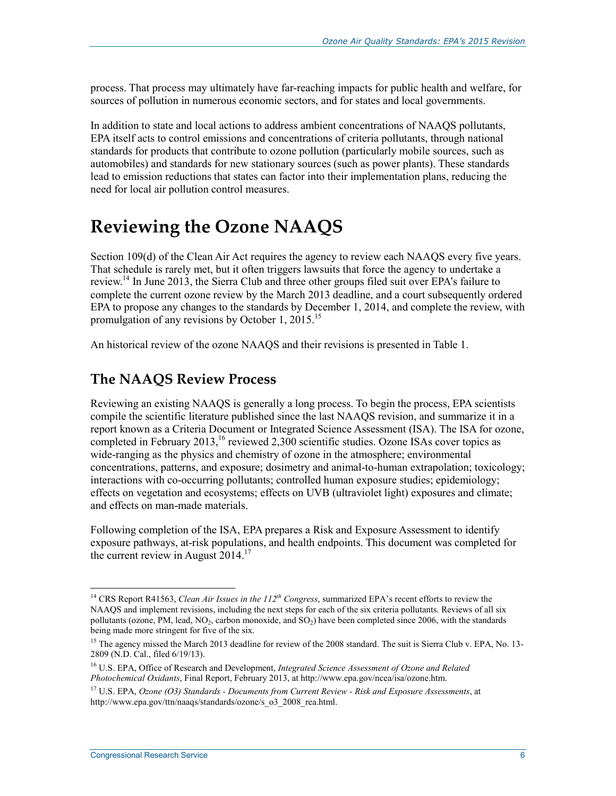process. That process may ultimately have far-reaching impacts for public health and welfare, for sources of pollution in numerous economic sectors, and for states and local governments.

In addition to state and local actions to address ambient concentrations of NAAQS pollutants, EPA itself acts to control emissions and concentrations of criteria pollutants, through national standards for products that contribute to ozone pollution (particularly mobile sources, such as automobiles) and standards for new stationary sources (such as power plants). These standards lead to emission reductions that states can factor into their implementation plans, reducing the need for local air pollution control measures.

## **Reviewing the Ozone NAAQS**

Section 109(d) of the Clean Air Act requires the agency to review each NAAQS every five years. That schedule is rarely met, but it often triggers lawsuits that force the agency to undertake a review.14 In June 2013, the Sierra Club and three other groups filed suit over EPA's failure to complete the current ozone review by the March 2013 deadline, and a court subsequently ordered EPA to propose any changes to the standards by December 1, 2014, and complete the review, with promulgation of any revisions by October 1, 2015.<sup>15</sup>

An historical review of the ozone NAAQS and their revisions is presented in Table 1.

### **The NAAQS Review Process**

Reviewing an existing NAAQS is generally a long process. To begin the process, EPA scientists compile the scientific literature published since the last NAAQS revision, and summarize it in a report known as a Criteria Document or Integrated Science Assessment (ISA). The ISA for ozone, completed in February 2013,<sup>16</sup> reviewed 2,300 scientific studies. Ozone ISAs cover topics as wide-ranging as the physics and chemistry of ozone in the atmosphere; environmental concentrations, patterns, and exposure; dosimetry and animal-to-human extrapolation; toxicology; interactions with co-occurring pollutants; controlled human exposure studies; epidemiology; effects on vegetation and ecosystems; effects on UVB (ultraviolet light) exposures and climate; and effects on man-made materials.

Following completion of the ISA, EPA prepares a Risk and Exposure Assessment to identify exposure pathways, at-risk populations, and health endpoints. This document was completed for the current review in August  $2014$ <sup>17</sup>

<sup>14</sup> CRS Report R41563, *Clean Air Issues in the 112th Congress*, summarized EPA's recent efforts to review the NAAQS and implement revisions, including the next steps for each of the six criteria pollutants. Reviews of all six pollutants (ozone, PM, lead,  $NO<sub>2</sub>$ , carbon monoxide, and  $SO<sub>2</sub>$ ) have been completed since 2006, with the standards being made more stringent for five of the six.

<sup>&</sup>lt;sup>15</sup> The agency missed the March 2013 deadline for review of the 2008 standard. The suit is Sierra Club v. EPA, No. 13-2809 (N.D. Cal., filed 6/19/13).

<sup>16</sup> U.S. EPA, Office of Research and Development, *Integrated Science Assessment of Ozone and Related Photochemical Oxidants*, Final Report, February 2013, at http://www.epa.gov/ncea/isa/ozone.htm.

<sup>17</sup> U.S. EPA, *Ozone (O3) Standards - Documents from Current Review - Risk and Exposure Assessments*, at http://www.epa.gov/ttn/naaqs/standards/ozone/s\_o3\_2008\_rea.html.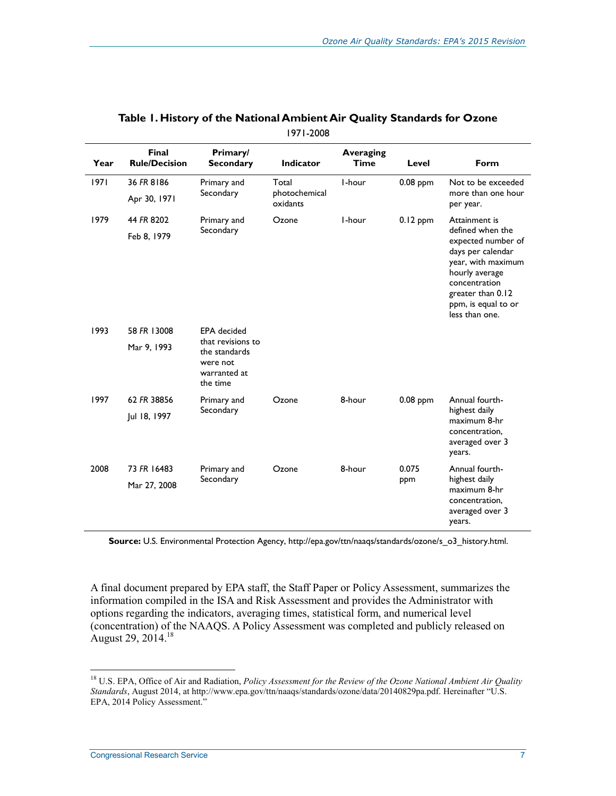| Year        | Final<br><b>Rule/Decision</b>                                              | Primary/<br><b>Secondary</b> | Indicator                 | <b>Averaging</b><br><b>Time</b> | Level      | Form                                                                                                                                                           |
|-------------|----------------------------------------------------------------------------|------------------------------|---------------------------|---------------------------------|------------|----------------------------------------------------------------------------------------------------------------------------------------------------------------|
| 1971        | 36 FR 8186                                                                 | Primary and                  | Total                     | I-hour                          | $0.08$ ppm | Not to be exceeded                                                                                                                                             |
|             | Apr 30, 1971                                                               | Secondary                    | photochemical<br>oxidants |                                 |            | more than one hour<br>per year.                                                                                                                                |
| 1979        | 44 FR 8202                                                                 | Primary and                  | Ozone                     | I-hour                          | $0.12$ ppm | Attainment is<br>defined when the                                                                                                                              |
|             | Feb 8, 1979                                                                | Secondary                    |                           |                                 |            | expected number of<br>days per calendar<br>year, with maximum<br>hourly average<br>concentration<br>greater than 0.12<br>ppm, is equal to or<br>less than one. |
| 1993        | 58 FR 13008                                                                | <b>EPA</b> decided           |                           |                                 |            |                                                                                                                                                                |
| Mar 9, 1993 | that revisions to<br>the standards<br>were not<br>warranted at<br>the time |                              |                           |                                 |            |                                                                                                                                                                |
| 1997        | 62 FR 38856                                                                | Primary and<br>Secondary     | Ozone                     | 8-hour                          | $0.08$ ppm | Annual fourth-                                                                                                                                                 |
|             | Jul 18, 1997                                                               |                              |                           |                                 |            | highest daily<br>maximum 8-hr<br>concentration,<br>averaged over 3<br>years.                                                                                   |
| 2008        | 73 FR 16483<br>Primary and                                                 |                              | Ozone                     | 8-hour                          | 0.075      | Annual fourth-                                                                                                                                                 |
|             | Mar 27, 2008                                                               | Secondary                    |                           |                                 | ppm        | highest daily<br>maximum 8-hr<br>concentration,<br>averaged over 3<br>years.                                                                                   |

#### **Table 1. History of the National Ambient Air Quality Standards for Ozone**  1971-2008

**Source:** U.S. Environmental Protection Agency, http://epa.gov/ttn/naaqs/standards/ozone/s\_o3\_history.html.

A final document prepared by EPA staff, the Staff Paper or Policy Assessment, summarizes the information compiled in the ISA and Risk Assessment and provides the Administrator with options regarding the indicators, averaging times, statistical form, and numerical level (concentration) of the NAAQS. A Policy Assessment was completed and publicly released on August 29, 2014.<sup>18</sup>

<sup>18</sup> U.S. EPA, Office of Air and Radiation, *Policy Assessment for the Review of the Ozone National Ambient Air Quality Standards*, August 2014, at http://www.epa.gov/ttn/naaqs/standards/ozone/data/20140829pa.pdf. Hereinafter "U.S. EPA, 2014 Policy Assessment."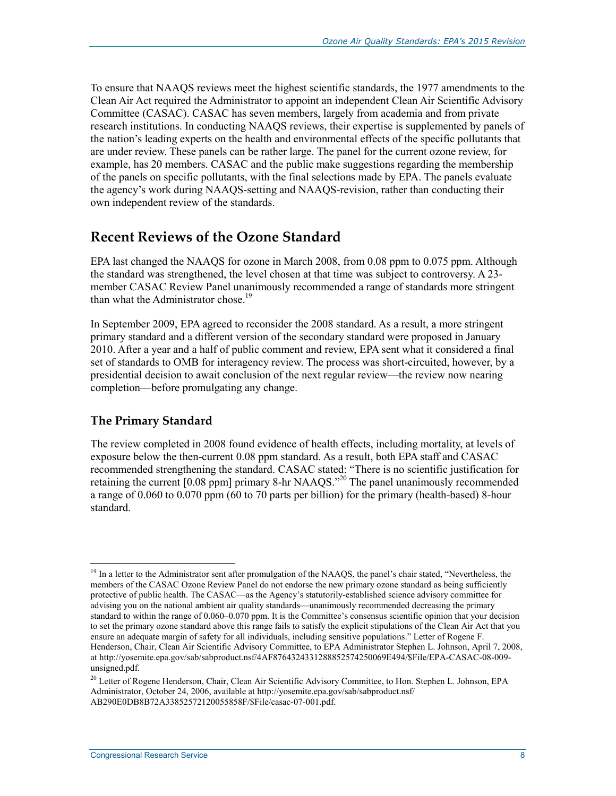To ensure that NAAQS reviews meet the highest scientific standards, the 1977 amendments to the Clean Air Act required the Administrator to appoint an independent Clean Air Scientific Advisory Committee (CASAC). CASAC has seven members, largely from academia and from private research institutions. In conducting NAAQS reviews, their expertise is supplemented by panels of the nation's leading experts on the health and environmental effects of the specific pollutants that are under review. These panels can be rather large. The panel for the current ozone review, for example, has 20 members. CASAC and the public make suggestions regarding the membership of the panels on specific pollutants, with the final selections made by EPA. The panels evaluate the agency's work during NAAQS-setting and NAAQS-revision, rather than conducting their own independent review of the standards.

### **Recent Reviews of the Ozone Standard**

EPA last changed the NAAQS for ozone in March 2008, from 0.08 ppm to 0.075 ppm. Although the standard was strengthened, the level chosen at that time was subject to controversy. A 23 member CASAC Review Panel unanimously recommended a range of standards more stringent than what the Administrator chose.<sup>19</sup>

In September 2009, EPA agreed to reconsider the 2008 standard. As a result, a more stringent primary standard and a different version of the secondary standard were proposed in January 2010. After a year and a half of public comment and review, EPA sent what it considered a final set of standards to OMB for interagency review. The process was short-circuited, however, by a presidential decision to await conclusion of the next regular review—the review now nearing completion—before promulgating any change.

#### **The Primary Standard**

<u>.</u>

The review completed in 2008 found evidence of health effects, including mortality, at levels of exposure below the then-current 0.08 ppm standard. As a result, both EPA staff and CASAC recommended strengthening the standard. CASAC stated: "There is no scientific justification for retaining the current  $[0.08 \text{ ppm}]$  primary 8-hr NAAQS.<sup>320</sup> The panel unanimously recommended a range of 0.060 to 0.070 ppm (60 to 70 parts per billion) for the primary (health-based) 8-hour standard.

<sup>&</sup>lt;sup>19</sup> In a letter to the Administrator sent after promulgation of the NAAQS, the panel's chair stated, "Nevertheless, the members of the CASAC Ozone Review Panel do not endorse the new primary ozone standard as being sufficiently protective of public health. The CASAC—as the Agency's statutorily-established science advisory committee for advising you on the national ambient air quality standards—unanimously recommended decreasing the primary standard to within the range of 0.060–0.070 ppm. It is the Committee's consensus scientific opinion that your decision to set the primary ozone standard above this range fails to satisfy the explicit stipulations of the Clean Air Act that you ensure an adequate margin of safety for all individuals, including sensitive populations." Letter of Rogene F. Henderson, Chair, Clean Air Scientific Advisory Committee, to EPA Administrator Stephen L. Johnson, April 7, 2008, at http://yosemite.epa.gov/sab/sabproduct.nsf/4AF8764324331288852574250069E494/\$File/EPA-CASAC-08-009 unsigned.pdf.

<sup>&</sup>lt;sup>20</sup> Letter of Rogene Henderson, Chair, Clean Air Scientific Advisory Committee, to Hon. Stephen L. Johnson, EPA Administrator, October 24, 2006, available at http://yosemite.epa.gov/sab/sabproduct.nsf/ AB290E0DB8B72A33852572120055858F/\$File/casac-07-001.pdf.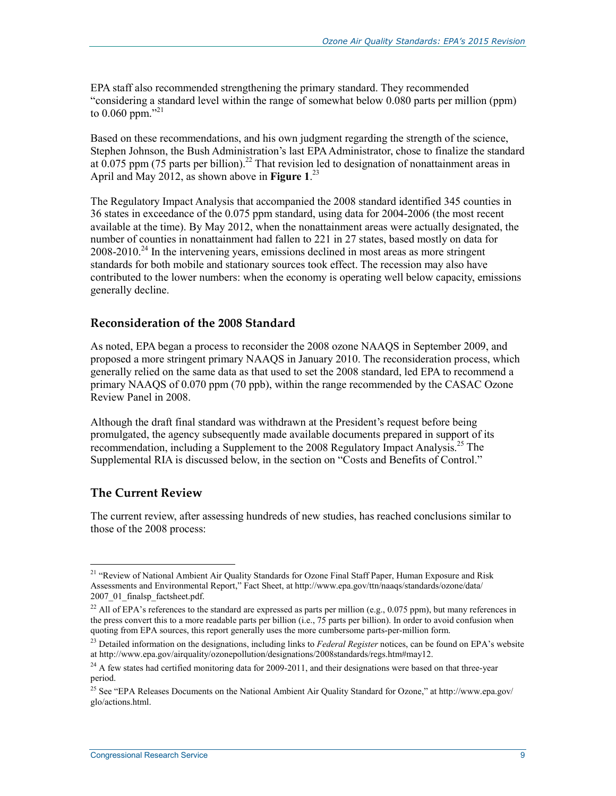EPA staff also recommended strengthening the primary standard. They recommended "considering a standard level within the range of somewhat below 0.080 parts per million (ppm) to 0.060 ppm."<sup>21</sup>

Based on these recommendations, and his own judgment regarding the strength of the science, Stephen Johnson, the Bush Administration's last EPA Administrator, chose to finalize the standard at  $0.075$  ppm (75 parts per billion).<sup>22</sup> That revision led to designation of nonattainment areas in April and May 2012, as shown above in **Figure 1**. 23

The Regulatory Impact Analysis that accompanied the 2008 standard identified 345 counties in 36 states in exceedance of the 0.075 ppm standard, using data for 2004-2006 (the most recent available at the time). By May 2012, when the nonattainment areas were actually designated, the number of counties in nonattainment had fallen to 221 in 27 states, based mostly on data for  $2008-2010.<sup>24</sup>$  In the intervening years, emissions declined in most areas as more stringent standards for both mobile and stationary sources took effect. The recession may also have contributed to the lower numbers: when the economy is operating well below capacity, emissions generally decline.

#### **Reconsideration of the 2008 Standard**

As noted, EPA began a process to reconsider the 2008 ozone NAAQS in September 2009, and proposed a more stringent primary NAAQS in January 2010. The reconsideration process, which generally relied on the same data as that used to set the 2008 standard, led EPA to recommend a primary NAAQS of 0.070 ppm (70 ppb), within the range recommended by the CASAC Ozone Review Panel in 2008.

Although the draft final standard was withdrawn at the President's request before being promulgated, the agency subsequently made available documents prepared in support of its recommendation, including a Supplement to the 2008 Regulatory Impact Analysis.<sup>25</sup> The Supplemental RIA is discussed below, in the section on "Costs and Benefits of Control."

#### **The Current Review**

1

The current review, after assessing hundreds of new studies, has reached conclusions similar to those of the 2008 process:

<sup>&</sup>lt;sup>21</sup> "Review of National Ambient Air Quality Standards for Ozone Final Staff Paper, Human Exposure and Risk Assessments and Environmental Report," Fact Sheet, at http://www.epa.gov/ttn/naaqs/standards/ozone/data/ 2007\_01\_finalsp\_factsheet.pdf.

<sup>&</sup>lt;sup>22</sup> All of EPA's references to the standard are expressed as parts per million (e.g., 0.075 ppm), but many references in the press convert this to a more readable parts per billion  $(i.e., 75$  parts per billion). In order to avoid confusion when quoting from EPA sources, this report generally uses the more cumbersome parts-per-million form.

<sup>&</sup>lt;sup>23</sup> Detailed information on the designations, including links to *Federal Register* notices, can be found on EPA's website at http://www.epa.gov/airquality/ozonepollution/designations/2008standards/regs.htm#may12.

<sup>&</sup>lt;sup>24</sup> A few states had certified monitoring data for 2009-2011, and their designations were based on that three-year period.

<sup>&</sup>lt;sup>25</sup> See "EPA Releases Documents on the National Ambient Air Quality Standard for Ozone," at http://www.epa.gov/ glo/actions.html.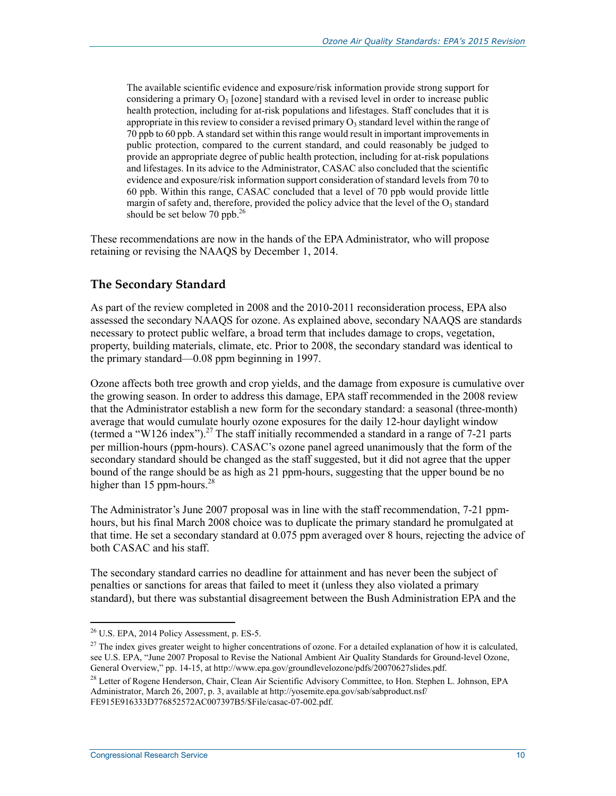The available scientific evidence and exposure/risk information provide strong support for considering a primary  $O_3$  [ozone] standard with a revised level in order to increase public health protection, including for at-risk populations and lifestages. Staff concludes that it is appropriate in this review to consider a revised primary  $O_3$  standard level within the range of 70 ppb to 60 ppb. A standard set within this range would result in important improvements in public protection, compared to the current standard, and could reasonably be judged to provide an appropriate degree of public health protection, including for at-risk populations and lifestages. In its advice to the Administrator, CASAC also concluded that the scientific evidence and exposure/risk information support consideration of standard levels from 70 to 60 ppb. Within this range, CASAC concluded that a level of 70 ppb would provide little margin of safety and, therefore, provided the policy advice that the level of the  $O_3$  standard should be set below 70 ppb. $^{26}$ 

These recommendations are now in the hands of the EPA Administrator, who will propose retaining or revising the NAAQS by December 1, 2014.

#### **The Secondary Standard**

As part of the review completed in 2008 and the 2010-2011 reconsideration process, EPA also assessed the secondary NAAQS for ozone. As explained above, secondary NAAQS are standards necessary to protect public welfare, a broad term that includes damage to crops, vegetation, property, building materials, climate, etc. Prior to 2008, the secondary standard was identical to the primary standard—0.08 ppm beginning in 1997.

Ozone affects both tree growth and crop yields, and the damage from exposure is cumulative over the growing season. In order to address this damage, EPA staff recommended in the 2008 review that the Administrator establish a new form for the secondary standard: a seasonal (three-month) average that would cumulate hourly ozone exposures for the daily 12-hour daylight window (termed a "W126 index").<sup>27</sup> The staff initially recommended a standard in a range of 7-21 parts per million-hours (ppm-hours). CASAC's ozone panel agreed unanimously that the form of the secondary standard should be changed as the staff suggested, but it did not agree that the upper bound of the range should be as high as 21 ppm-hours, suggesting that the upper bound be no higher than 15 ppm-hours. $^{28}$ 

The Administrator's June 2007 proposal was in line with the staff recommendation, 7-21 ppmhours, but his final March 2008 choice was to duplicate the primary standard he promulgated at that time. He set a secondary standard at 0.075 ppm averaged over 8 hours, rejecting the advice of both CASAC and his staff.

The secondary standard carries no deadline for attainment and has never been the subject of penalties or sanctions for areas that failed to meet it (unless they also violated a primary standard), but there was substantial disagreement between the Bush Administration EPA and the

 $26$  U.S. EPA, 2014 Policy Assessment, p. ES-5.

 $27$  The index gives greater weight to higher concentrations of ozone. For a detailed explanation of how it is calculated, see U.S. EPA, "June 2007 Proposal to Revise the National Ambient Air Quality Standards for Ground-level Ozone, General Overview," pp. 14-15, at http://www.epa.gov/groundlevelozone/pdfs/20070627slides.pdf.

<sup>&</sup>lt;sup>28</sup> Letter of Rogene Henderson, Chair, Clean Air Scientific Advisory Committee, to Hon. Stephen L. Johnson, EPA Administrator, March 26, 2007, p. 3, available at http://yosemite.epa.gov/sab/sabproduct.nsf/ FE915E916333D776852572AC007397B5/\$File/casac-07-002.pdf.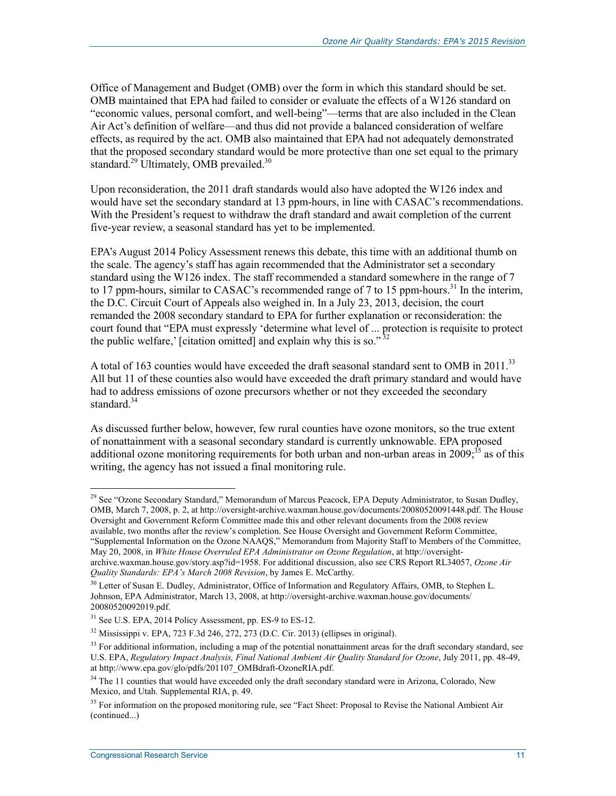Office of Management and Budget (OMB) over the form in which this standard should be set. OMB maintained that EPA had failed to consider or evaluate the effects of a W126 standard on "economic values, personal comfort, and well-being"—terms that are also included in the Clean Air Act's definition of welfare—and thus did not provide a balanced consideration of welfare effects, as required by the act. OMB also maintained that EPA had not adequately demonstrated that the proposed secondary standard would be more protective than one set equal to the primary standard.<sup>29</sup> Ultimately, OMB prevailed.<sup>30</sup>

Upon reconsideration, the 2011 draft standards would also have adopted the W126 index and would have set the secondary standard at 13 ppm-hours, in line with CASAC's recommendations. With the President's request to withdraw the draft standard and await completion of the current five-year review, a seasonal standard has yet to be implemented.

EPA's August 2014 Policy Assessment renews this debate, this time with an additional thumb on the scale. The agency's staff has again recommended that the Administrator set a secondary standard using the W126 index. The staff recommended a standard somewhere in the range of 7 to 17 ppm-hours, similar to CASAC's recommended range of 7 to 15 ppm-hours.<sup>31</sup> In the interim, the D.C. Circuit Court of Appeals also weighed in. In a July 23, 2013, decision, the court remanded the 2008 secondary standard to EPA for further explanation or reconsideration: the court found that "EPA must expressly 'determine what level of ... protection is requisite to protect the public welfare,' [citation omitted] and explain why this is so." $32$ 

A total of 163 counties would have exceeded the draft seasonal standard sent to OMB in  $2011$ .<sup>33</sup> All but 11 of these counties also would have exceeded the draft primary standard and would have had to address emissions of ozone precursors whether or not they exceeded the secondary standard  $34$ 

As discussed further below, however, few rural counties have ozone monitors, so the true extent of nonattainment with a seasonal secondary standard is currently unknowable. EPA proposed additional ozone monitoring requirements for both urban and non-urban areas in  $2009$ ;<sup>35</sup> as of this writing, the agency has not issued a final monitoring rule.

"Supplemental Information on the Ozone NAAQS," Memorandum from Majority Staff to Members of the Committee, May 20, 2008, in *White House Overruled EPA Administrator on Ozone Regulation*, at http://oversight-

<sup>&</sup>lt;u>.</u> <sup>29</sup> See "Ozone Secondary Standard," Memorandum of Marcus Peacock, EPA Deputy Administrator, to Susan Dudley, OMB, March 7, 2008, p. 2, at http://oversight-archive.waxman.house.gov/documents/20080520091448.pdf. The House Oversight and Government Reform Committee made this and other relevant documents from the 2008 review available, two months after the review's completion. See House Oversight and Government Reform Committee,

archive.waxman.house.gov/story.asp?id=1958. For additional discussion, also see CRS Report RL34057, *Ozone Air Quality Standards: EPA's March 2008 Revision*, by James E. McCarthy.

<sup>&</sup>lt;sup>30</sup> Letter of Susan E. Dudley, Administrator, Office of Information and Regulatory Affairs, OMB, to Stephen L. Johnson, EPA Administrator, March 13, 2008, at http://oversight-archive.waxman.house.gov/documents/ 20080520092019.pdf.

<sup>&</sup>lt;sup>31</sup> See U.S. EPA, 2014 Policy Assessment, pp. ES-9 to ES-12.

<sup>32</sup> Mississippi v. EPA, 723 F.3d 246, 272, 273 (D.C. Cir. 2013) (ellipses in original).

 $33$  For additional information, including a map of the potential nonattainment areas for the draft secondary standard, see U.S. EPA, *Regulatory Impact Analysis, Final National Ambient Air Quality Standard for Ozone*, July 2011, pp. 48-49, at http://www.epa.gov/glo/pdfs/201107\_OMBdraft-OzoneRIA.pdf.

<sup>&</sup>lt;sup>34</sup> The 11 counties that would have exceeded only the draft secondary standard were in Arizona, Colorado, New Mexico, and Utah. Supplemental RIA, p. 49.

<sup>&</sup>lt;sup>35</sup> For information on the proposed monitoring rule, see "Fact Sheet: Proposal to Revise the National Ambient Air (continued...)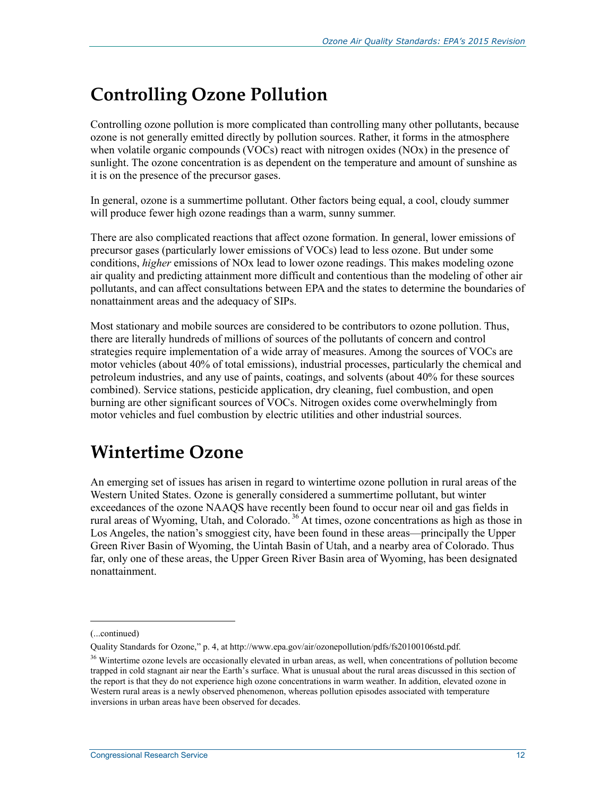## **Controlling Ozone Pollution**

Controlling ozone pollution is more complicated than controlling many other pollutants, because ozone is not generally emitted directly by pollution sources. Rather, it forms in the atmosphere when volatile organic compounds (VOCs) react with nitrogen oxides (NOx) in the presence of sunlight. The ozone concentration is as dependent on the temperature and amount of sunshine as it is on the presence of the precursor gases.

In general, ozone is a summertime pollutant. Other factors being equal, a cool, cloudy summer will produce fewer high ozone readings than a warm, sunny summer.

There are also complicated reactions that affect ozone formation. In general, lower emissions of precursor gases (particularly lower emissions of VOCs) lead to less ozone. But under some conditions, *higher* emissions of NOx lead to lower ozone readings. This makes modeling ozone air quality and predicting attainment more difficult and contentious than the modeling of other air pollutants, and can affect consultations between EPA and the states to determine the boundaries of nonattainment areas and the adequacy of SIPs.

Most stationary and mobile sources are considered to be contributors to ozone pollution. Thus, there are literally hundreds of millions of sources of the pollutants of concern and control strategies require implementation of a wide array of measures. Among the sources of VOCs are motor vehicles (about 40% of total emissions), industrial processes, particularly the chemical and petroleum industries, and any use of paints, coatings, and solvents (about 40% for these sources combined). Service stations, pesticide application, dry cleaning, fuel combustion, and open burning are other significant sources of VOCs. Nitrogen oxides come overwhelmingly from motor vehicles and fuel combustion by electric utilities and other industrial sources.

## **Wintertime Ozone**

An emerging set of issues has arisen in regard to wintertime ozone pollution in rural areas of the Western United States. Ozone is generally considered a summertime pollutant, but winter exceedances of the ozone NAAQS have recently been found to occur near oil and gas fields in rural areas of Wyoming, Utah, and Colorado. 36 At times, ozone concentrations as high as those in Los Angeles, the nation's smoggiest city, have been found in these areas—principally the Upper Green River Basin of Wyoming, the Uintah Basin of Utah, and a nearby area of Colorado. Thus far, only one of these areas, the Upper Green River Basin area of Wyoming, has been designated nonattainment.

<sup>(...</sup>continued)

Quality Standards for Ozone," p. 4, at http://www.epa.gov/air/ozonepollution/pdfs/fs20100106std.pdf.

<sup>&</sup>lt;sup>36</sup> Wintertime ozone levels are occasionally elevated in urban areas, as well, when concentrations of pollution become trapped in cold stagnant air near the Earth's surface. What is unusual about the rural areas discussed in this section of the report is that they do not experience high ozone concentrations in warm weather. In addition, elevated ozone in Western rural areas is a newly observed phenomenon, whereas pollution episodes associated with temperature inversions in urban areas have been observed for decades.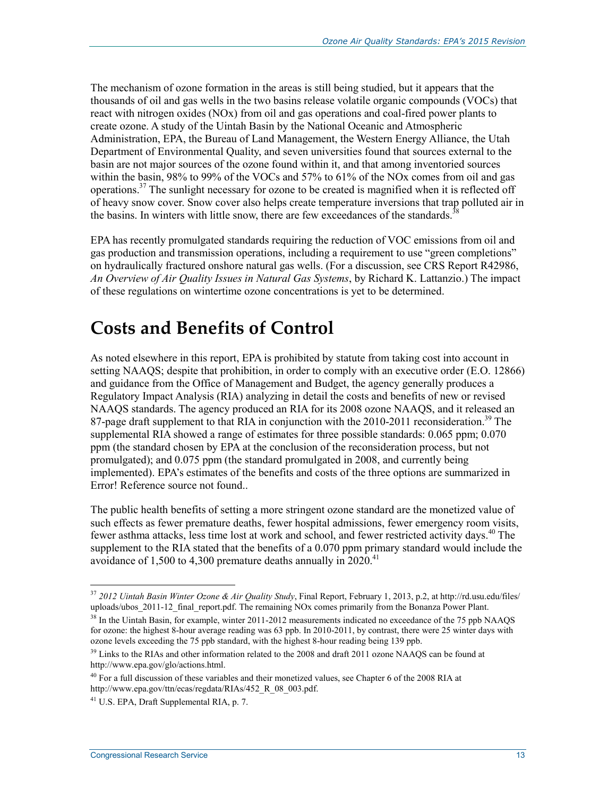The mechanism of ozone formation in the areas is still being studied, but it appears that the thousands of oil and gas wells in the two basins release volatile organic compounds (VOCs) that react with nitrogen oxides (NOx) from oil and gas operations and coal-fired power plants to create ozone. A study of the Uintah Basin by the National Oceanic and Atmospheric Administration, EPA, the Bureau of Land Management, the Western Energy Alliance, the Utah Department of Environmental Quality, and seven universities found that sources external to the basin are not major sources of the ozone found within it, and that among inventoried sources within the basin, 98% to 99% of the VOCs and 57% to 61% of the NOx comes from oil and gas operations.<sup>37</sup> The sunlight necessary for ozone to be created is magnified when it is reflected off of heavy snow cover. Snow cover also helps create temperature inversions that trap polluted air in the basins. In winters with little snow, there are few exceedances of the standards.<sup>3</sup>

EPA has recently promulgated standards requiring the reduction of VOC emissions from oil and gas production and transmission operations, including a requirement to use "green completions" on hydraulically fractured onshore natural gas wells. (For a discussion, see CRS Report R42986, *An Overview of Air Quality Issues in Natural Gas Systems*, by Richard K. Lattanzio.) The impact of these regulations on wintertime ozone concentrations is yet to be determined.

## **Costs and Benefits of Control**

As noted elsewhere in this report, EPA is prohibited by statute from taking cost into account in setting NAAQS; despite that prohibition, in order to comply with an executive order (E.O. 12866) and guidance from the Office of Management and Budget, the agency generally produces a Regulatory Impact Analysis (RIA) analyzing in detail the costs and benefits of new or revised NAAQS standards. The agency produced an RIA for its 2008 ozone NAAQS, and it released an 87-page draft supplement to that RIA in conjunction with the 2010-2011 reconsideration.<sup>39</sup> The supplemental RIA showed a range of estimates for three possible standards: 0.065 ppm; 0.070 ppm (the standard chosen by EPA at the conclusion of the reconsideration process, but not promulgated); and 0.075 ppm (the standard promulgated in 2008, and currently being implemented). EPA's estimates of the benefits and costs of the three options are summarized in Error! Reference source not found..

The public health benefits of setting a more stringent ozone standard are the monetized value of such effects as fewer premature deaths, fewer hospital admissions, fewer emergency room visits, fewer asthma attacks, less time lost at work and school, and fewer restricted activity days.<sup>40</sup> The supplement to the RIA stated that the benefits of a 0.070 ppm primary standard would include the avoidance of 1,500 to 4,300 premature deaths annually in  $2020$ <sup>41</sup>

<sup>37</sup> *2012 Uintah Basin Winter Ozone & Air Quality Study*, Final Report, February 1, 2013, p.2, at http://rd.usu.edu/files/ uploads/ubos 2011-12 final report.pdf. The remaining NOx comes primarily from the Bonanza Power Plant.

<sup>&</sup>lt;sup>38</sup> In the Uintah Basin, for example, winter 2011-2012 measurements indicated no exceedance of the 75 ppb NAAQS for ozone: the highest 8-hour average reading was 63 ppb. In 2010-2011, by contrast, there were 25 winter days with ozone levels exceeding the 75 ppb standard, with the highest 8-hour reading being 139 ppb.

<sup>&</sup>lt;sup>39</sup> Links to the RIAs and other information related to the 2008 and draft 2011 ozone NAAQS can be found at http://www.epa.gov/glo/actions.html.

<sup>40</sup> For a full discussion of these variables and their monetized values, see Chapter 6 of the 2008 RIA at http://www.epa.gov/ttn/ecas/regdata/RIAs/452\_R\_08\_003.pdf.

 $41$  U.S. EPA, Draft Supplemental RIA, p. 7.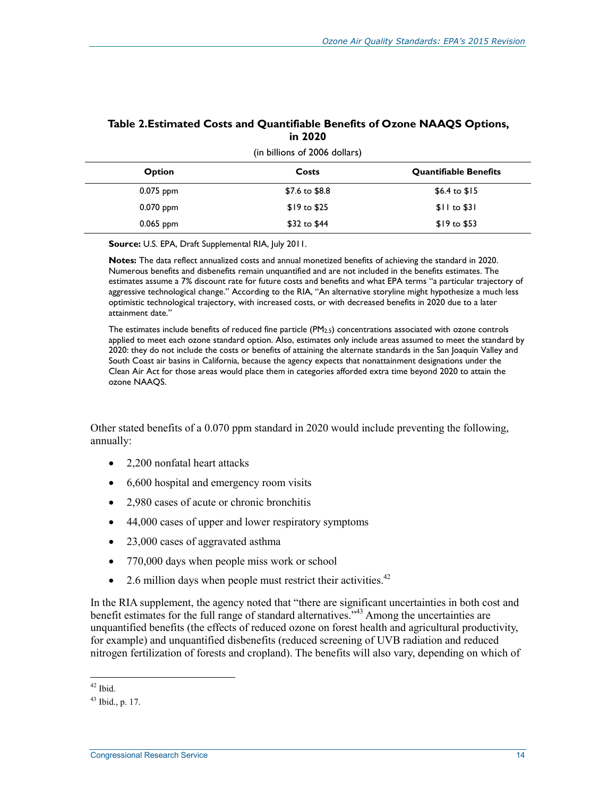| (in billions of 2006 dollars) |                       |                              |  |  |  |
|-------------------------------|-----------------------|------------------------------|--|--|--|
| <b>Option</b>                 | Costs                 | <b>Quantifiable Benefits</b> |  |  |  |
| $0.075$ ppm                   | \$7.6 to \$8.8        | \$6.4 to $$15$               |  |  |  |
| $0.070$ ppm                   | $$19 \text{ to } $25$ | $$11$ to $$31$               |  |  |  |
| $0.065$ ppm                   | $$32$ to $$44$        | $$19 \text{ to } $53$        |  |  |  |

#### **Table 2.Estimated Costs and Quantifiable Benefits of Ozone NAAQS Options, in 2020**

**Source:** U.S. EPA, Draft Supplemental RIA, July 2011.

**Notes:** The data reflect annualized costs and annual monetized benefits of achieving the standard in 2020. Numerous benefits and disbenefits remain unquantified and are not included in the benefits estimates. The estimates assume a 7% discount rate for future costs and benefits and what EPA terms "a particular trajectory of aggressive technological change." According to the RIA, "An alternative storyline might hypothesize a much less optimistic technological trajectory, with increased costs, or with decreased benefits in 2020 due to a later attainment date."

The estimates include benefits of reduced fine particle (PM2.5) concentrations associated with ozone controls applied to meet each ozone standard option. Also, estimates only include areas assumed to meet the standard by 2020: they do not include the costs or benefits of attaining the alternate standards in the San Joaquin Valley and South Coast air basins in California, because the agency expects that nonattainment designations under the Clean Air Act for those areas would place them in categories afforded extra time beyond 2020 to attain the ozone NAAQS.

Other stated benefits of a 0.070 ppm standard in 2020 would include preventing the following, annually:

- 2,200 nonfatal heart attacks
- 6,600 hospital and emergency room visits
- 2,980 cases of acute or chronic bronchitis
- 44,000 cases of upper and lower respiratory symptoms
- 23,000 cases of aggravated asthma
- 770,000 days when people miss work or school
- 2.6 million days when people must restrict their activities.<sup>42</sup>

In the RIA supplement, the agency noted that "there are significant uncertainties in both cost and benefit estimates for the full range of standard alternatives.<sup>343</sup> Among the uncertainties are unquantified benefits (the effects of reduced ozone on forest health and agricultural productivity, for example) and unquantified disbenefits (reduced screening of UVB radiation and reduced nitrogen fertilization of forests and cropland). The benefits will also vary, depending on which of

<sup>1</sup>  $42$  Ibid.

 $43$  Ibid., p. 17.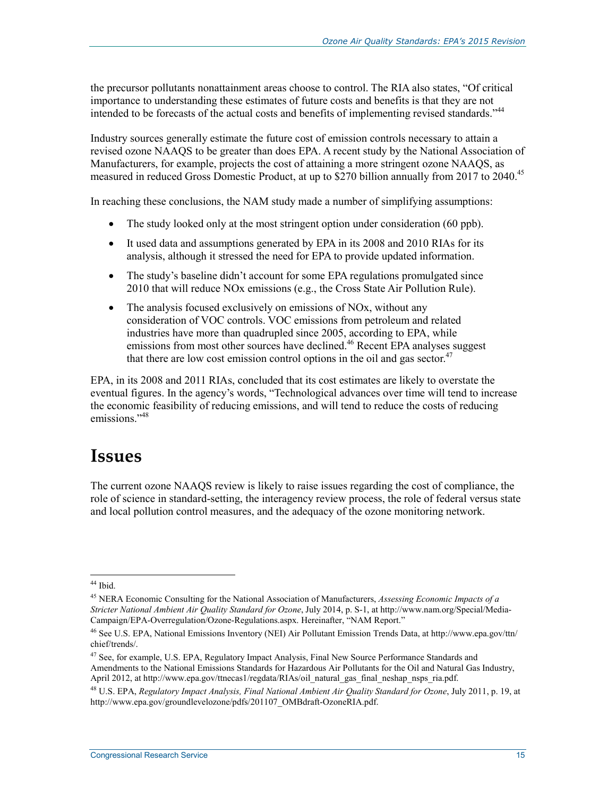the precursor pollutants nonattainment areas choose to control. The RIA also states, "Of critical importance to understanding these estimates of future costs and benefits is that they are not intended to be forecasts of the actual costs and benefits of implementing revised standards."44

Industry sources generally estimate the future cost of emission controls necessary to attain a revised ozone NAAQS to be greater than does EPA. A recent study by the National Association of Manufacturers, for example, projects the cost of attaining a more stringent ozone NAAQS, as measured in reduced Gross Domestic Product, at up to \$270 billion annually from 2017 to 2040.<sup>45</sup>

In reaching these conclusions, the NAM study made a number of simplifying assumptions:

- The study looked only at the most stringent option under consideration (60 ppb).
- It used data and assumptions generated by EPA in its 2008 and 2010 RIAs for its analysis, although it stressed the need for EPA to provide updated information.
- The study's baseline didn't account for some EPA regulations promulgated since 2010 that will reduce NOx emissions (e.g., the Cross State Air Pollution Rule).
- The analysis focused exclusively on emissions of NO<sub>x</sub>, without any consideration of VOC controls. VOC emissions from petroleum and related industries have more than quadrupled since 2005, according to EPA, while emissions from most other sources have declined.<sup>46</sup> Recent EPA analyses suggest that there are low cost emission control options in the oil and gas sector.<sup>47</sup>

EPA, in its 2008 and 2011 RIAs, concluded that its cost estimates are likely to overstate the eventual figures. In the agency's words, "Technological advances over time will tend to increase the economic feasibility of reducing emissions, and will tend to reduce the costs of reducing emissions<sup>"48</sup>

## **Issues**

The current ozone NAAQS review is likely to raise issues regarding the cost of compliance, the role of science in standard-setting, the interagency review process, the role of federal versus state and local pollution control measures, and the adequacy of the ozone monitoring network.

<sup>&</sup>lt;u>.</u> <sup>44</sup> Ibid.

<sup>45</sup> NERA Economic Consulting for the National Association of Manufacturers, *Assessing Economic Impacts of a Stricter National Ambient Air Quality Standard for Ozone*, July 2014, p. S-1, at http://www.nam.org/Special/Media-Campaign/EPA-Overregulation/Ozone-Regulations.aspx. Hereinafter, "NAM Report."

<sup>46</sup> See U.S. EPA, National Emissions Inventory (NEI) Air Pollutant Emission Trends Data, at http://www.epa.gov/ttn/ chief/trends/.

<sup>&</sup>lt;sup>47</sup> See, for example, U.S. EPA, Regulatory Impact Analysis, Final New Source Performance Standards and Amendments to the National Emissions Standards for Hazardous Air Pollutants for the Oil and Natural Gas Industry, April 2012, at http://www.epa.gov/ttnecas1/regdata/RIAs/oil\_natural\_gas\_final\_neshap\_nsps\_ria.pdf.

<sup>48</sup> U.S. EPA, *Regulatory Impact Analysis, Final National Ambient Air Quality Standard for Ozone*, July 2011, p. 19, at http://www.epa.gov/groundlevelozone/pdfs/201107\_OMBdraft-OzoneRIA.pdf.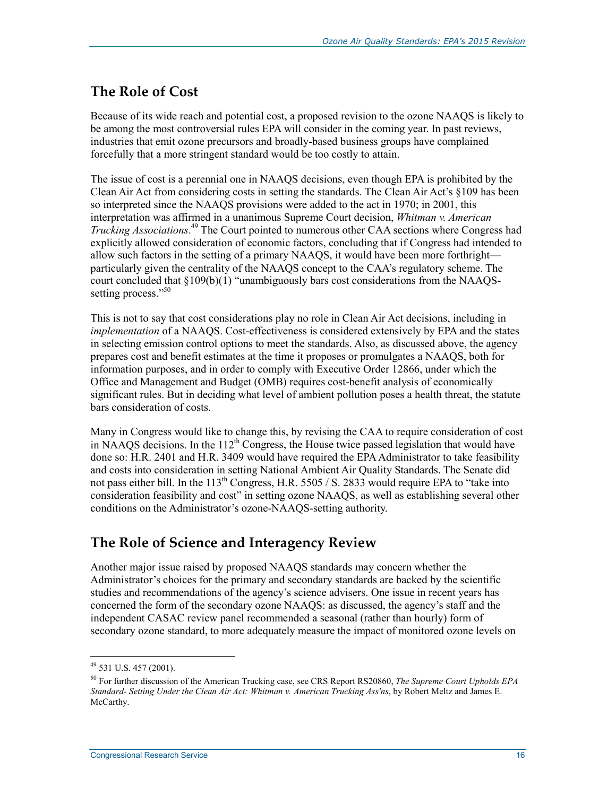### **The Role of Cost**

Because of its wide reach and potential cost, a proposed revision to the ozone NAAQS is likely to be among the most controversial rules EPA will consider in the coming year. In past reviews, industries that emit ozone precursors and broadly-based business groups have complained forcefully that a more stringent standard would be too costly to attain.

The issue of cost is a perennial one in NAAQS decisions, even though EPA is prohibited by the Clean Air Act from considering costs in setting the standards. The Clean Air Act's §109 has been so interpreted since the NAAQS provisions were added to the act in 1970; in 2001, this interpretation was affirmed in a unanimous Supreme Court decision, *Whitman v. American Trucking Associations*. 49 The Court pointed to numerous other CAA sections where Congress had explicitly allowed consideration of economic factors, concluding that if Congress had intended to allow such factors in the setting of a primary NAAQS, it would have been more forthright particularly given the centrality of the NAAQS concept to the CAA's regulatory scheme. The court concluded that §109(b)(1) "unambiguously bars cost considerations from the NAAQSsetting process."<sup>50</sup>

This is not to say that cost considerations play no role in Clean Air Act decisions, including in *implementation* of a NAAQS. Cost-effectiveness is considered extensively by EPA and the states in selecting emission control options to meet the standards. Also, as discussed above, the agency prepares cost and benefit estimates at the time it proposes or promulgates a NAAQS, both for information purposes, and in order to comply with Executive Order 12866, under which the Office and Management and Budget (OMB) requires cost-benefit analysis of economically significant rules. But in deciding what level of ambient pollution poses a health threat, the statute bars consideration of costs.

Many in Congress would like to change this, by revising the CAA to require consideration of cost in NAAQS decisions. In the  $112<sup>th</sup>$  Congress, the House twice passed legislation that would have done so: H.R. 2401 and H.R. 3409 would have required the EPA Administrator to take feasibility and costs into consideration in setting National Ambient Air Quality Standards. The Senate did not pass either bill. In the  $113<sup>th</sup>$  Congress, H.R. 5505 / S. 2833 would require EPA to "take into consideration feasibility and cost" in setting ozone NAAQS, as well as establishing several other conditions on the Administrator's ozone-NAAQS-setting authority.

### **The Role of Science and Interagency Review**

Another major issue raised by proposed NAAQS standards may concern whether the Administrator's choices for the primary and secondary standards are backed by the scientific studies and recommendations of the agency's science advisers. One issue in recent years has concerned the form of the secondary ozone NAAQS: as discussed, the agency's staff and the independent CASAC review panel recommended a seasonal (rather than hourly) form of secondary ozone standard, to more adequately measure the impact of monitored ozone levels on

 $49$  531 U.S. 457 (2001).

<sup>50</sup> For further discussion of the American Trucking case, see CRS Report RS20860, *The Supreme Court Upholds EPA Standard- Setting Under the Clean Air Act: Whitman v. American Trucking Ass'ns*, by Robert Meltz and James E. McCarthy.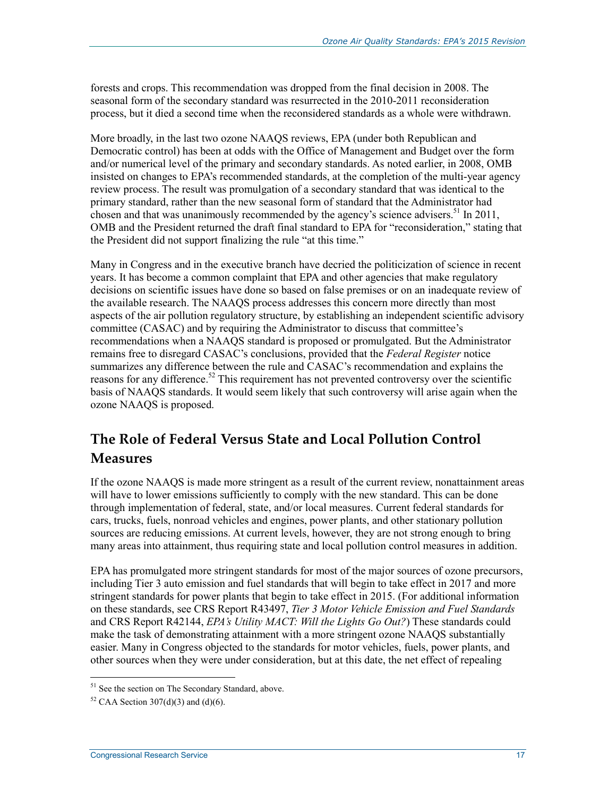forests and crops. This recommendation was dropped from the final decision in 2008. The seasonal form of the secondary standard was resurrected in the 2010-2011 reconsideration process, but it died a second time when the reconsidered standards as a whole were withdrawn.

More broadly, in the last two ozone NAAQS reviews, EPA (under both Republican and Democratic control) has been at odds with the Office of Management and Budget over the form and/or numerical level of the primary and secondary standards. As noted earlier, in 2008, OMB insisted on changes to EPA's recommended standards, at the completion of the multi-year agency review process. The result was promulgation of a secondary standard that was identical to the primary standard, rather than the new seasonal form of standard that the Administrator had chosen and that was unanimously recommended by the agency's science advisers.<sup>51</sup> In 2011, OMB and the President returned the draft final standard to EPA for "reconsideration," stating that the President did not support finalizing the rule "at this time."

Many in Congress and in the executive branch have decried the politicization of science in recent years. It has become a common complaint that EPA and other agencies that make regulatory decisions on scientific issues have done so based on false premises or on an inadequate review of the available research. The NAAQS process addresses this concern more directly than most aspects of the air pollution regulatory structure, by establishing an independent scientific advisory committee (CASAC) and by requiring the Administrator to discuss that committee's recommendations when a NAAQS standard is proposed or promulgated. But the Administrator remains free to disregard CASAC's conclusions, provided that the *Federal Register* notice summarizes any difference between the rule and CASAC's recommendation and explains the reasons for any difference.<sup>52</sup> This requirement has not prevented controversy over the scientific basis of NAAQS standards. It would seem likely that such controversy will arise again when the ozone NAAQS is proposed.

## **The Role of Federal Versus State and Local Pollution Control Measures**

If the ozone NAAQS is made more stringent as a result of the current review, nonattainment areas will have to lower emissions sufficiently to comply with the new standard. This can be done through implementation of federal, state, and/or local measures. Current federal standards for cars, trucks, fuels, nonroad vehicles and engines, power plants, and other stationary pollution sources are reducing emissions. At current levels, however, they are not strong enough to bring many areas into attainment, thus requiring state and local pollution control measures in addition.

EPA has promulgated more stringent standards for most of the major sources of ozone precursors, including Tier 3 auto emission and fuel standards that will begin to take effect in 2017 and more stringent standards for power plants that begin to take effect in 2015. (For additional information on these standards, see CRS Report R43497, *Tier 3 Motor Vehicle Emission and Fuel Standards* and CRS Report R42144, *EPA's Utility MACT: Will the Lights Go Out?*) These standards could make the task of demonstrating attainment with a more stringent ozone NAAQS substantially easier. Many in Congress objected to the standards for motor vehicles, fuels, power plants, and other sources when they were under consideration, but at this date, the net effect of repealing

<sup>&</sup>lt;sup>51</sup> See the section on The Secondary Standard, above.

<sup>&</sup>lt;sup>52</sup> CAA Section 307(d)(3) and (d)(6).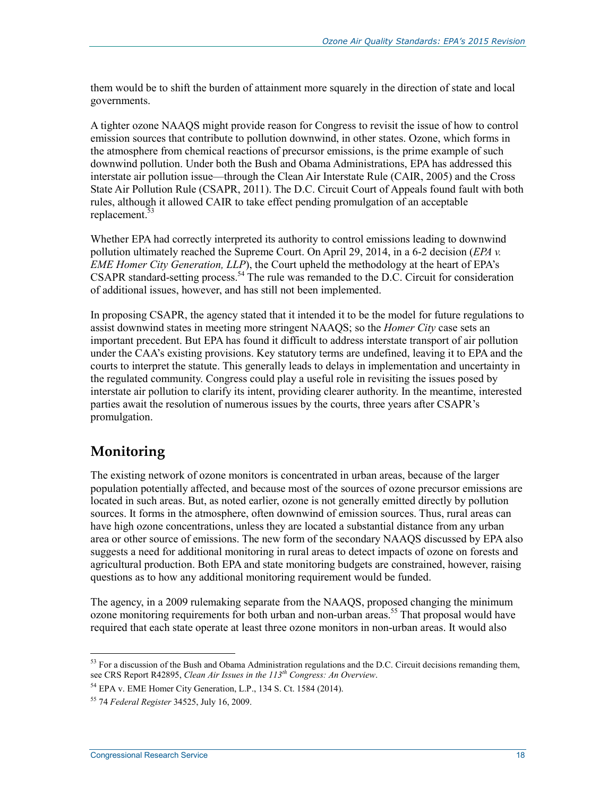them would be to shift the burden of attainment more squarely in the direction of state and local governments.

A tighter ozone NAAQS might provide reason for Congress to revisit the issue of how to control emission sources that contribute to pollution downwind, in other states. Ozone, which forms in the atmosphere from chemical reactions of precursor emissions, is the prime example of such downwind pollution. Under both the Bush and Obama Administrations, EPA has addressed this interstate air pollution issue—through the Clean Air Interstate Rule (CAIR, 2005) and the Cross State Air Pollution Rule (CSAPR, 2011). The D.C. Circuit Court of Appeals found fault with both rules, although it allowed CAIR to take effect pending promulgation of an acceptable replacement.<sup>53</sup>

Whether EPA had correctly interpreted its authority to control emissions leading to downwind pollution ultimately reached the Supreme Court. On April 29, 2014, in a 6-2 decision (*EPA v. EME Homer City Generation, LLP*), the Court upheld the methodology at the heart of EPA's CSAPR standard-setting process.<sup>54</sup> The rule was remanded to the D.C. Circuit for consideration of additional issues, however, and has still not been implemented.

In proposing CSAPR, the agency stated that it intended it to be the model for future regulations to assist downwind states in meeting more stringent NAAQS; so the *Homer City* case sets an important precedent. But EPA has found it difficult to address interstate transport of air pollution under the CAA's existing provisions. Key statutory terms are undefined, leaving it to EPA and the courts to interpret the statute. This generally leads to delays in implementation and uncertainty in the regulated community. Congress could play a useful role in revisiting the issues posed by interstate air pollution to clarify its intent, providing clearer authority. In the meantime, interested parties await the resolution of numerous issues by the courts, three years after CSAPR's promulgation.

### **Monitoring**

1

The existing network of ozone monitors is concentrated in urban areas, because of the larger population potentially affected, and because most of the sources of ozone precursor emissions are located in such areas. But, as noted earlier, ozone is not generally emitted directly by pollution sources. It forms in the atmosphere, often downwind of emission sources. Thus, rural areas can have high ozone concentrations, unless they are located a substantial distance from any urban area or other source of emissions. The new form of the secondary NAAQS discussed by EPA also suggests a need for additional monitoring in rural areas to detect impacts of ozone on forests and agricultural production. Both EPA and state monitoring budgets are constrained, however, raising questions as to how any additional monitoring requirement would be funded.

The agency, in a 2009 rulemaking separate from the NAAQS, proposed changing the minimum ozone monitoring requirements for both urban and non-urban areas.<sup>55</sup> That proposal would have required that each state operate at least three ozone monitors in non-urban areas. It would also

 $53$  For a discussion of the Bush and Obama Administration regulations and the D.C. Circuit decisions remanding them, see CRS Report R42895, *Clean Air Issues in the 113th Congress: An Overview*.

<sup>54</sup> EPA v. EME Homer City Generation, L.P., 134 S. Ct. 1584 (2014).

<sup>55 74</sup> *Federal Register* 34525, July 16, 2009.